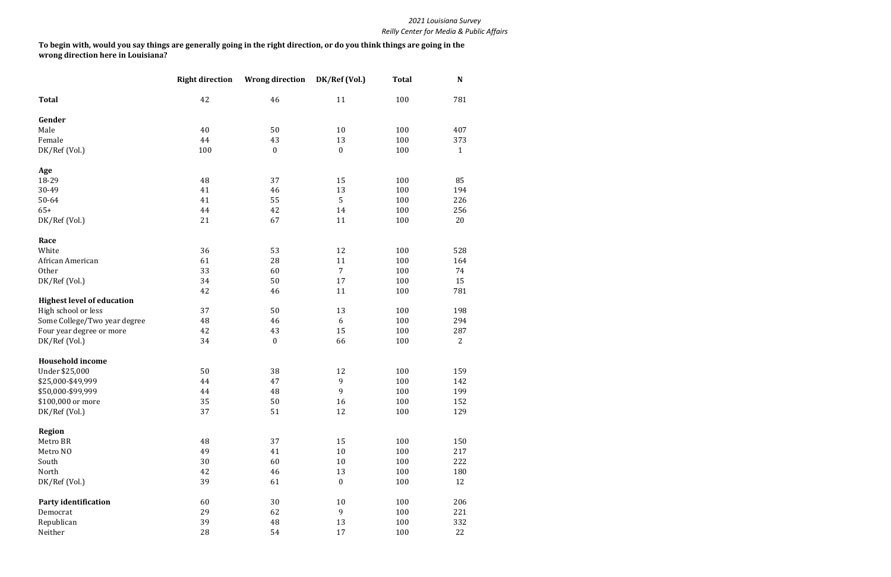|                                   | <b>Right direction</b> | <b>Wrong direction</b> | DK/Ref (Vol.)    | <b>Total</b> | N              |
|-----------------------------------|------------------------|------------------------|------------------|--------------|----------------|
| <b>Total</b>                      | 42                     | 46                     | 11               | 100          | 781            |
| Gender                            |                        |                        |                  |              |                |
| Male                              | 40                     | 50                     | 10               | 100          | 407            |
| Female                            | 44                     | 43                     | 13               | 100          | 373            |
| DK/Ref (Vol.)                     | 100                    | $\boldsymbol{0}$       | $\boldsymbol{0}$ | 100          | $\mathbf{1}$   |
| Age                               |                        |                        |                  |              |                |
| 18-29                             | 48                     | 37                     | 15               | 100          | 85             |
| 30-49                             | 41                     | 46                     | 13               | 100          | 194            |
| 50-64                             | 41                     | 55                     | 5                | 100          | 226            |
| $65+$                             | 44                     | 42                     | 14               | 100          | 256            |
| DK/Ref (Vol.)                     | 21                     | 67                     | 11               | 100          | 20             |
| Race                              |                        |                        |                  |              |                |
| White                             | 36                     | 53                     | 12               | 100          | 528            |
| African American                  | 61                     | 28                     | 11               | 100          | 164            |
| Other                             | 33                     | 60                     | 7                | 100          | 74             |
| DK/Ref (Vol.)                     | 34                     | 50                     | 17               | 100          | 15             |
|                                   | 42                     | 46                     | 11               | 100          | 781            |
| <b>Highest level of education</b> |                        |                        |                  |              |                |
| High school or less               | 37                     | 50                     | 13               | 100          | 198            |
| Some College/Two year degree      | 48                     | 46                     | 6                | 100          | 294            |
| Four year degree or more          | 42                     | 43                     | 15               | 100          | 287            |
| DK/Ref (Vol.)                     | 34                     | $\boldsymbol{0}$       | 66               | 100          | $\overline{2}$ |
| <b>Household income</b>           |                        |                        |                  |              |                |
| Under \$25,000                    | 50                     | 38                     | 12               | 100          | 159            |
| \$25,000-\$49,999                 | 44                     | 47                     | 9                | 100          | 142            |
| \$50,000-\$99,999                 | 44                     | 48                     | 9                | 100          | 199            |
| \$100,000 or more                 | 35                     | 50                     | 16               | 100          | 152            |
| DK/Ref (Vol.)                     | 37                     | 51                     | 12               | 100          | 129            |
| <b>Region</b>                     |                        |                        |                  |              |                |
| Metro BR                          | 48                     | 37                     | 15               | 100          | 150            |
| Metro NO                          | 49                     | 41                     | $10\,$           | 100          | 217            |
| South                             | 30                     | 60                     | 10               | 100          | 222            |
| North                             | 42                     | 46                     | 13               | 100          | 180            |
| DK/Ref (Vol.)                     | 39                     | 61                     | $\boldsymbol{0}$ | 100          | 12             |
| <b>Party identification</b>       | 60                     | 30                     | $10\,$           | 100          | 206            |
| Democrat                          | 29                     | 62                     | 9                | 100          | 221            |
| Republican                        | 39                     | 48                     | 13               | 100          | 332            |
| Neither                           | 28                     | 54                     | 17               | 100          | 22             |

**To begin with, would you say things are generally going in the right direction, or do you think things are going in the wrong direction here in Louisiana?**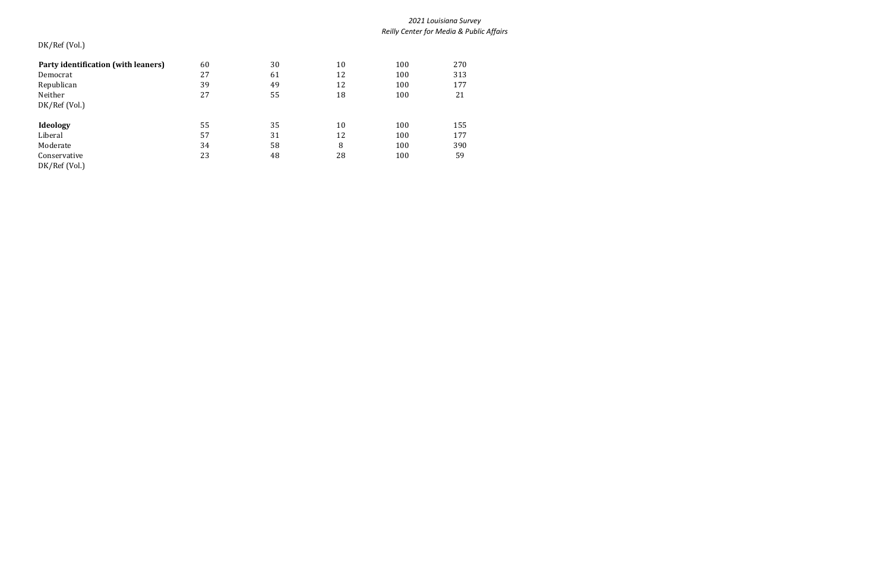# DK/Ref (Vol.)

| Party identification (with leaners)<br>Democrat | 60<br>27 | 30<br>61 | 10<br>12 | 100<br>100 | 270<br>313 |
|-------------------------------------------------|----------|----------|----------|------------|------------|
| Republican                                      | 39       | 49       | 12       | 100        | 177        |
| Neither<br>DK/Ref (Vol.)                        | 27       | 55       | 18       | 100        | 21         |
| Ideology                                        | 55       | 35       | 10       | 100        | 155        |
| Liberal                                         | 57       | 31       | 12       | 100        | 177        |
| Moderate                                        | 34       | 58       | 8        | 100        | 390        |
| Conservative<br>DK/Ref (Vol.)                   | 23       | 48       | 28       | 100        | 59         |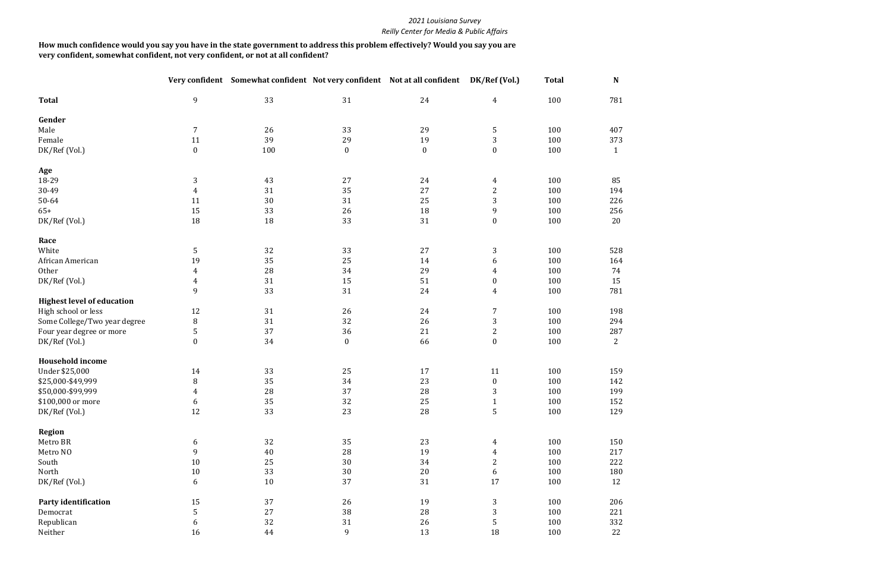| $\boldsymbol{9}$<br>33<br>31<br>24<br>100<br><b>Total</b><br>$\overline{4}$<br>Gender<br>$\overline{7}$<br>33<br>Male<br>26<br>29<br>5<br>100<br>39<br>$\mathbf{3}$<br>Female<br>11<br>29<br>19<br>100<br>$\boldsymbol{0}$<br>DK/Ref (Vol.)<br>$\mathbf{0}$<br>$\mathbf{0}$<br>100<br>100<br>$\mathbf{0}$<br>Age<br>18-29<br>3<br>43<br>27<br>24<br>100<br>$\overline{4}$<br>$\overline{2}$<br>35<br>27<br>30-49<br>$\overline{4}$<br>31<br>100<br>3<br>30<br>31<br>25<br>100<br>50-64<br>11<br>15<br>33<br>26<br>18<br>$\boldsymbol{9}$<br>100<br>$65+$<br>33<br>DK/Ref (Vol.)<br>18<br>18<br>31<br>$\boldsymbol{0}$<br>100<br>Race<br>5<br>3<br>White<br>32<br>33<br>27<br>100<br>19<br>35<br>25<br>100<br>14<br>African American<br>6<br>29<br>28<br>100<br>Other<br>$\overline{4}$<br>34<br>$\overline{4}$ |               |                | Very confident Somewhat confident Not very confident Not at all confident |    |    | DK/Ref (Vol.)    | <b>Total</b> | $\mathbf N$  |
|----------------------------------------------------------------------------------------------------------------------------------------------------------------------------------------------------------------------------------------------------------------------------------------------------------------------------------------------------------------------------------------------------------------------------------------------------------------------------------------------------------------------------------------------------------------------------------------------------------------------------------------------------------------------------------------------------------------------------------------------------------------------------------------------------------------|---------------|----------------|---------------------------------------------------------------------------|----|----|------------------|--------------|--------------|
|                                                                                                                                                                                                                                                                                                                                                                                                                                                                                                                                                                                                                                                                                                                                                                                                                |               |                |                                                                           |    |    |                  |              | 781          |
|                                                                                                                                                                                                                                                                                                                                                                                                                                                                                                                                                                                                                                                                                                                                                                                                                |               |                |                                                                           |    |    |                  |              |              |
|                                                                                                                                                                                                                                                                                                                                                                                                                                                                                                                                                                                                                                                                                                                                                                                                                |               |                |                                                                           |    |    |                  |              | 407          |
|                                                                                                                                                                                                                                                                                                                                                                                                                                                                                                                                                                                                                                                                                                                                                                                                                |               |                |                                                                           |    |    |                  |              | 373          |
|                                                                                                                                                                                                                                                                                                                                                                                                                                                                                                                                                                                                                                                                                                                                                                                                                |               |                |                                                                           |    |    |                  |              | $\mathbf{1}$ |
|                                                                                                                                                                                                                                                                                                                                                                                                                                                                                                                                                                                                                                                                                                                                                                                                                |               |                |                                                                           |    |    |                  |              |              |
|                                                                                                                                                                                                                                                                                                                                                                                                                                                                                                                                                                                                                                                                                                                                                                                                                |               |                |                                                                           |    |    |                  |              | 85           |
|                                                                                                                                                                                                                                                                                                                                                                                                                                                                                                                                                                                                                                                                                                                                                                                                                |               |                |                                                                           |    |    |                  |              | 194          |
|                                                                                                                                                                                                                                                                                                                                                                                                                                                                                                                                                                                                                                                                                                                                                                                                                |               |                |                                                                           |    |    |                  |              | 226          |
|                                                                                                                                                                                                                                                                                                                                                                                                                                                                                                                                                                                                                                                                                                                                                                                                                |               |                |                                                                           |    |    |                  |              | 256          |
|                                                                                                                                                                                                                                                                                                                                                                                                                                                                                                                                                                                                                                                                                                                                                                                                                |               |                |                                                                           |    |    |                  |              | 20           |
|                                                                                                                                                                                                                                                                                                                                                                                                                                                                                                                                                                                                                                                                                                                                                                                                                |               |                |                                                                           |    |    |                  |              |              |
|                                                                                                                                                                                                                                                                                                                                                                                                                                                                                                                                                                                                                                                                                                                                                                                                                |               |                |                                                                           |    |    |                  |              | 528          |
|                                                                                                                                                                                                                                                                                                                                                                                                                                                                                                                                                                                                                                                                                                                                                                                                                |               |                |                                                                           |    |    |                  |              | 164          |
|                                                                                                                                                                                                                                                                                                                                                                                                                                                                                                                                                                                                                                                                                                                                                                                                                |               |                |                                                                           |    |    |                  |              | 74           |
|                                                                                                                                                                                                                                                                                                                                                                                                                                                                                                                                                                                                                                                                                                                                                                                                                | DK/Ref (Vol.) | $\overline{4}$ | 31                                                                        | 15 | 51 | $\boldsymbol{0}$ | 100          | 15           |
| 9<br>33<br>31<br>24<br>100<br>$\overline{4}$                                                                                                                                                                                                                                                                                                                                                                                                                                                                                                                                                                                                                                                                                                                                                                   |               |                |                                                                           |    |    |                  |              | 781          |
| <b>Highest level of education</b>                                                                                                                                                                                                                                                                                                                                                                                                                                                                                                                                                                                                                                                                                                                                                                              |               |                |                                                                           |    |    |                  |              |              |
| 12<br>31<br>$\boldsymbol{7}$<br>100<br>High school or less<br>26<br>24                                                                                                                                                                                                                                                                                                                                                                                                                                                                                                                                                                                                                                                                                                                                         |               |                |                                                                           |    |    |                  |              | 198          |
| $\, 8$<br>32<br>3<br>31<br>26<br>100<br>Some College/Two year degree                                                                                                                                                                                                                                                                                                                                                                                                                                                                                                                                                                                                                                                                                                                                           |               |                |                                                                           |    |    |                  |              | 294          |
| 5<br>37<br>$\mathbf{2}$<br>21<br>100<br>Four year degree or more<br>36                                                                                                                                                                                                                                                                                                                                                                                                                                                                                                                                                                                                                                                                                                                                         |               |                |                                                                           |    |    |                  |              | 287          |
| $\boldsymbol{0}$<br>34<br>66<br>100<br>DK/Ref (Vol.)<br>$\boldsymbol{0}$<br>$\boldsymbol{0}$                                                                                                                                                                                                                                                                                                                                                                                                                                                                                                                                                                                                                                                                                                                   |               |                |                                                                           |    |    |                  |              | 2            |
| <b>Household income</b>                                                                                                                                                                                                                                                                                                                                                                                                                                                                                                                                                                                                                                                                                                                                                                                        |               |                |                                                                           |    |    |                  |              |              |
| Under \$25,000<br>33<br>25<br>100<br>14<br>17<br>11                                                                                                                                                                                                                                                                                                                                                                                                                                                                                                                                                                                                                                                                                                                                                            |               |                |                                                                           |    |    |                  |              | 159          |
| $\, 8$<br>35<br>23<br>\$25,000-\$49,999<br>34<br>$\pmb{0}$<br>100                                                                                                                                                                                                                                                                                                                                                                                                                                                                                                                                                                                                                                                                                                                                              |               |                |                                                                           |    |    |                  |              | 142          |
| 28<br>28<br>3<br>\$50,000-\$99,999<br>37<br>100<br>4                                                                                                                                                                                                                                                                                                                                                                                                                                                                                                                                                                                                                                                                                                                                                           |               |                |                                                                           |    |    |                  |              | 199          |
| $35\,$<br>32<br>$25\,$<br>\$100,000 or more<br>100<br>6<br>$\mathbf{1}$                                                                                                                                                                                                                                                                                                                                                                                                                                                                                                                                                                                                                                                                                                                                        |               |                |                                                                           |    |    |                  |              | 152          |
| 12<br>5<br>23<br>28<br>DK/Ref (Vol.)<br>33<br>100                                                                                                                                                                                                                                                                                                                                                                                                                                                                                                                                                                                                                                                                                                                                                              |               |                |                                                                           |    |    |                  |              | 129          |
| <b>Region</b>                                                                                                                                                                                                                                                                                                                                                                                                                                                                                                                                                                                                                                                                                                                                                                                                  |               |                |                                                                           |    |    |                  |              |              |
| 32<br>35<br>23<br>100<br>Metro BR<br>6<br>$\overline{4}$                                                                                                                                                                                                                                                                                                                                                                                                                                                                                                                                                                                                                                                                                                                                                       |               |                |                                                                           |    |    |                  |              | 150          |
| Metro NO<br>9<br>$40\,$<br>28<br>19<br>100<br>$\overline{4}$                                                                                                                                                                                                                                                                                                                                                                                                                                                                                                                                                                                                                                                                                                                                                   |               |                |                                                                           |    |    |                  |              | 217          |
| $\mathbf{2}$<br>South<br>$10\,$<br>25<br>30<br>34<br>100                                                                                                                                                                                                                                                                                                                                                                                                                                                                                                                                                                                                                                                                                                                                                       |               |                |                                                                           |    |    |                  |              | 222          |
| 33<br>$20\,$<br>North<br>$10\,$<br>$30\,$<br>$\boldsymbol{6}$<br>100                                                                                                                                                                                                                                                                                                                                                                                                                                                                                                                                                                                                                                                                                                                                           |               |                |                                                                           |    |    |                  |              | 180          |
| 17<br>$\boldsymbol{6}$<br>10<br>37<br>31<br>100<br>DK/Ref (Vol.)                                                                                                                                                                                                                                                                                                                                                                                                                                                                                                                                                                                                                                                                                                                                               |               |                |                                                                           |    |    |                  |              | 12           |
| $\sqrt{3}$<br>15<br>37<br>26<br>19<br>100<br>Party identification                                                                                                                                                                                                                                                                                                                                                                                                                                                                                                                                                                                                                                                                                                                                              |               |                |                                                                           |    |    |                  |              | 206          |
| 5<br>$\mathbf{3}$<br>27<br>38<br>28<br>100<br>Democrat                                                                                                                                                                                                                                                                                                                                                                                                                                                                                                                                                                                                                                                                                                                                                         |               |                |                                                                           |    |    |                  |              | 221          |
| 5<br>Republican<br>32<br>31<br>26<br>100<br>6                                                                                                                                                                                                                                                                                                                                                                                                                                                                                                                                                                                                                                                                                                                                                                  |               |                |                                                                           |    |    |                  |              | 332          |
| $\mathbf{9}$<br>13<br>Neither<br>16<br>44<br>18<br>100                                                                                                                                                                                                                                                                                                                                                                                                                                                                                                                                                                                                                                                                                                                                                         |               |                |                                                                           |    |    |                  |              | 22           |

## **How much confidence would you say you have in the state government to address this problem effectively? Would you say you are very confident, somewhat confident, not very confident, or not at all confident?**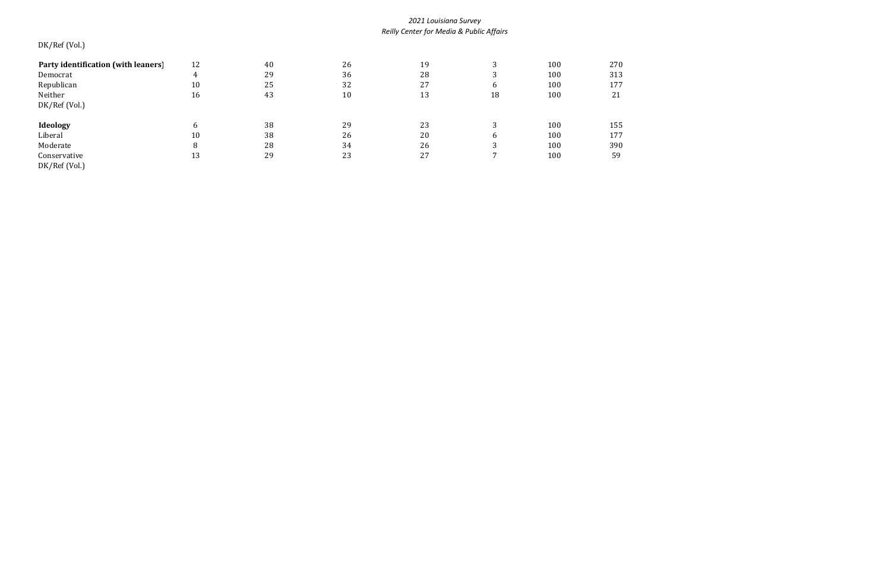# DK/Ref (Vol.)

| Party identification (with leaners) | 12 | 40 | 26 | 19 | ົ      | 100 | 270 |
|-------------------------------------|----|----|----|----|--------|-----|-----|
| Democrat                            |    | 29 | 36 | 28 | ົ<br>ر | 100 | 313 |
| Republican                          | 10 | 25 | 32 | 27 | b      | 100 | 177 |
| Neither                             | 16 | 43 | 10 | 13 | 18     | 100 | 21  |
| DK/Ref (Vol.)                       |    |    |    |    |        |     |     |
|                                     |    |    |    |    |        |     |     |
| <b>Ideology</b>                     | 6  | 38 | 29 | 23 |        | 100 | 155 |
| Liberal                             | 10 | 38 | 26 | 20 | b      | 100 | 177 |
| Moderate                            | 8  | 28 | 34 | 26 | ົ      | 100 | 390 |
| Conservative                        | 13 | 29 | 23 | 27 |        | 100 | 59  |
| DK/Ref (Vol.)                       |    |    |    |    |        |     |     |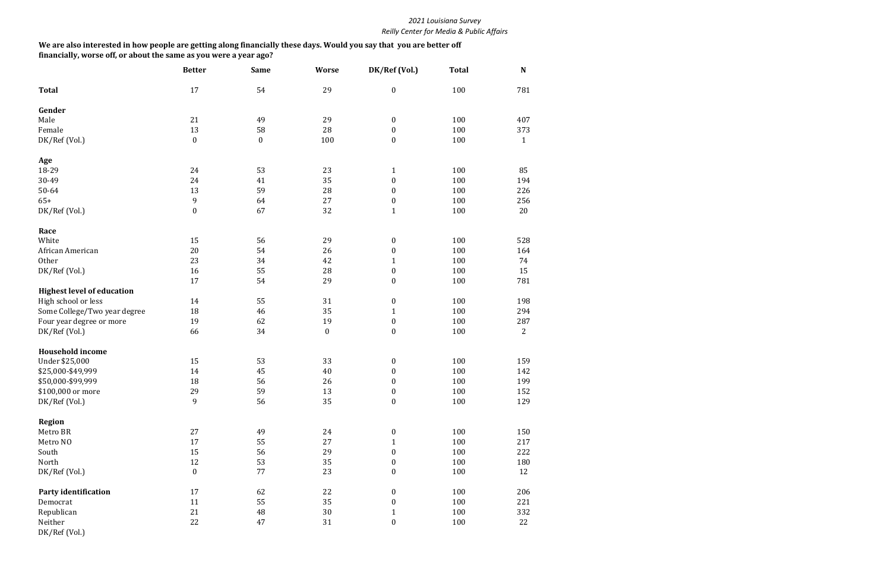|                                   | <b>Better</b>    | <b>Same</b>      | <b>Worse</b>     | DK/Ref (Vol.)    | <b>Total</b> | N              |
|-----------------------------------|------------------|------------------|------------------|------------------|--------------|----------------|
| <b>Total</b>                      | 17               | 54               | 29               | $\boldsymbol{0}$ | 100          | 781            |
| Gender                            |                  |                  |                  |                  |              |                |
| Male                              | 21               | 49               | 29               | $\boldsymbol{0}$ | 100          | 407            |
| Female                            | 13               | 58               | 28               | $\boldsymbol{0}$ | 100          | 373            |
| DK/Ref (Vol.)                     | $\boldsymbol{0}$ | $\boldsymbol{0}$ | 100              | $\boldsymbol{0}$ | 100          | $\mathbf{1}$   |
| Age                               |                  |                  |                  |                  |              |                |
| 18-29                             | 24               | 53               | 23               | $\mathbf{1}$     | 100          | 85             |
| 30-49                             | 24               | 41               | 35               | $\boldsymbol{0}$ | 100          | 194            |
| 50-64                             | 13               | 59               | 28               | $\boldsymbol{0}$ | 100          | 226            |
| $65+$                             | 9                | 64               | 27               | $\boldsymbol{0}$ | 100          | 256            |
| DK/Ref (Vol.)                     | $\boldsymbol{0}$ | 67               | 32               | $\mathbf{1}$     | 100          | 20             |
| Race                              |                  |                  |                  |                  |              |                |
| White                             | 15               | 56               | 29               | $\boldsymbol{0}$ | 100          | 528            |
| African American                  | 20               | 54               | 26               | $\boldsymbol{0}$ | 100          | 164            |
| Other                             | 23               | 34               | 42               | $\mathbf{1}$     | 100          | 74             |
| DK/Ref (Vol.)                     | 16               | 55               | 28               | $\boldsymbol{0}$ | 100          | 15             |
|                                   | 17               | 54               | 29               | $\boldsymbol{0}$ | 100          | 781            |
| <b>Highest level of education</b> |                  |                  |                  |                  |              |                |
| High school or less               | 14               | 55               | 31               | $\boldsymbol{0}$ | 100          | 198            |
| Some College/Two year degree      | 18               | 46               | 35               | $\mathbf{1}$     | 100          | 294            |
| Four year degree or more          | 19               | 62               | 19               | $\boldsymbol{0}$ | 100          | 287            |
| DK/Ref (Vol.)                     | 66               | 34               | $\boldsymbol{0}$ | $\boldsymbol{0}$ | 100          | $\overline{2}$ |
| <b>Household income</b>           |                  |                  |                  |                  |              |                |
| Under \$25,000                    | 15               | 53               | 33               | $\boldsymbol{0}$ | 100          | 159            |
| \$25,000-\$49,999                 | 14               | 45               | 40               | $\boldsymbol{0}$ | 100          | 142            |
| \$50,000-\$99,999                 | 18               | 56               | 26               | $\boldsymbol{0}$ | 100          | 199            |
| \$100,000 or more                 | 29               | 59               | 13               | $\pmb{0}$        | 100          | 152            |
| DK/Ref (Vol.)                     | 9                | 56               | 35               | $\boldsymbol{0}$ | 100          | 129            |
| <b>Region</b>                     |                  |                  |                  |                  |              |                |
| Metro BR                          | 27               | 49               | 24               | $\boldsymbol{0}$ | 100          | 150            |
| Metro NO                          | 17               | 55               | 27               | $\mathbf{1}$     | 100          | 217            |
| South                             | 15               | 56               | 29               | $\boldsymbol{0}$ | 100          | 222            |
| North                             | 12               | 53               | 35               | $\boldsymbol{0}$ | 100          | 180            |
| DK/Ref (Vol.)                     | $\pmb{0}$        | 77               | 23               | $\boldsymbol{0}$ | 100          | 12             |
| <b>Party identification</b>       | 17               | 62               | 22               | $\boldsymbol{0}$ | 100          | 206            |
| Democrat                          | 11               | 55               | 35               | $\boldsymbol{0}$ | 100          | 221            |
| Republican                        | 21               | 48               | $30\,$           | 1                | 100          | 332            |
| Neither                           | 22               | 47               | 31               | $\boldsymbol{0}$ | 100          | 22             |
| DK/Ref (Vol.)                     |                  |                  |                  |                  |              |                |

**We are also interested in how people are getting along financially these days. Would you say that you are better off financially, worse off, or about the same as you were a year ago?**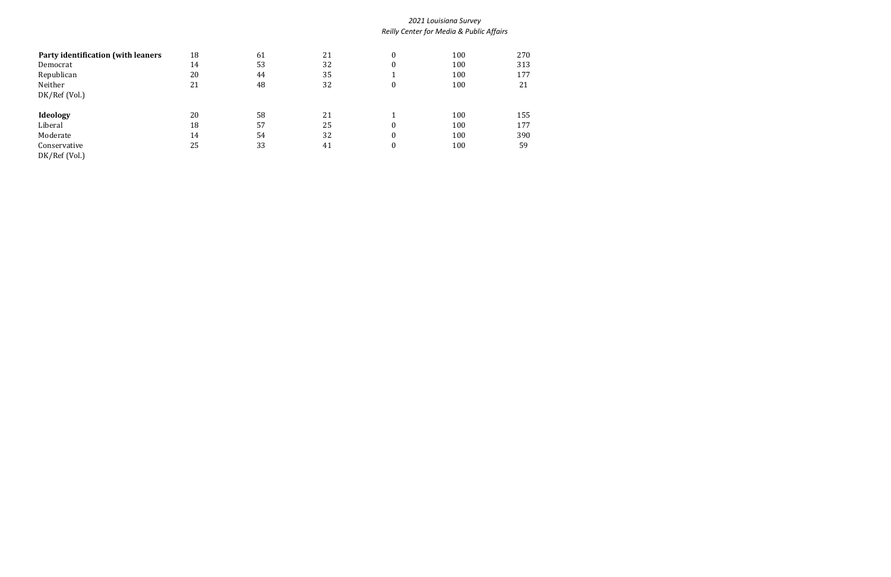| Party identification (with leaners | 18 | 61 | 21 | $\boldsymbol{0}$ | 100 | 270 |
|------------------------------------|----|----|----|------------------|-----|-----|
| Democrat                           | 14 | 53 | 32 | $\boldsymbol{0}$ | 100 | 313 |
| Republican                         | 20 | 44 | 35 |                  | 100 | 177 |
| Neither                            | 21 | 48 | 32 | $\boldsymbol{0}$ | 100 | 21  |
| DK/Ref (Vol.)                      |    |    |    |                  |     |     |
|                                    |    |    |    |                  |     |     |
| Ideology                           | 20 | 58 | 21 |                  | 100 | 155 |
| Liberal                            | 18 | 57 | 25 | $\bf{0}$         | 100 | 177 |
| Moderate                           | 14 | 54 | 32 | $\boldsymbol{0}$ | 100 | 390 |
| Conservative                       | 25 | 33 | 41 | $\boldsymbol{0}$ | 100 | 59  |
| DK/Ref (Vol.)                      |    |    |    |                  |     |     |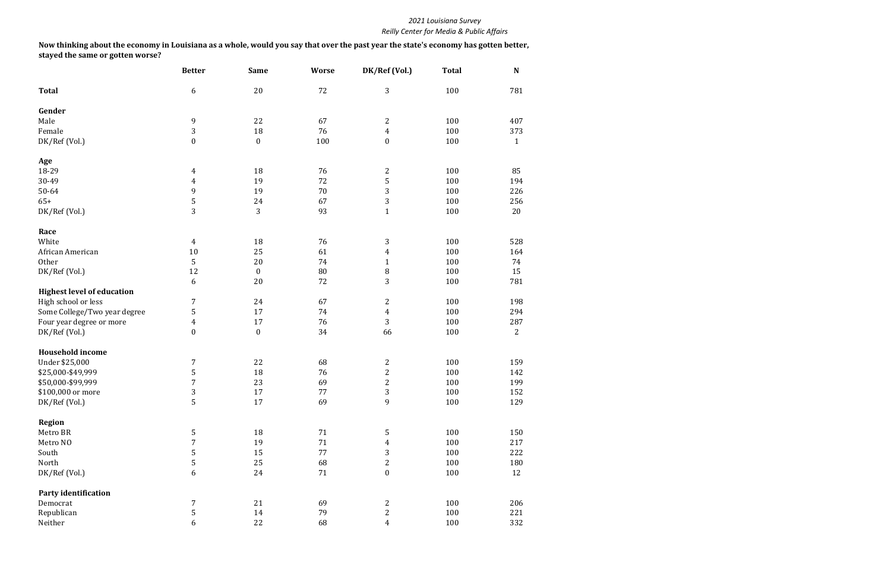|                                   | <b>Better</b>    | <b>Same</b>      | <b>Worse</b> | DK/Ref (Vol.)    | <b>Total</b> | N              |
|-----------------------------------|------------------|------------------|--------------|------------------|--------------|----------------|
| <b>Total</b>                      | 6                | 20               | 72           | 3                | 100          | 781            |
| Gender                            |                  |                  |              |                  |              |                |
| Male                              | 9                | 22               | 67           | $\overline{c}$   | 100          | 407            |
| Female                            | 3                | 18               | 76           | $\overline{4}$   | 100          | 373            |
| DK/Ref (Vol.)                     | $\mathbf{0}$     | $\boldsymbol{0}$ | 100          | $\boldsymbol{0}$ | 100          | $\mathbf{1}$   |
| Age                               |                  |                  |              |                  |              |                |
| 18-29                             | 4                | 18               | 76           | $\mathbf{2}$     | 100          | 85             |
| 30-49                             | $\overline{4}$   | 19               | 72           | 5                | 100          | 194            |
| 50-64                             | 9                | 19               | 70           | 3                | 100          | 226            |
| $65+$                             | 5                | 24               | 67           | $\mathbf{3}$     | 100          | 256            |
| DK/Ref (Vol.)                     | 3                | 3                | 93           | $\mathbf{1}$     | 100          | 20             |
| Race                              |                  |                  |              |                  |              |                |
| White                             | $\overline{4}$   | 18               | 76           | 3                | 100          | 528            |
| African American                  | 10               | 25               | 61           | 4                | 100          | 164            |
| Other                             | 5                | 20               | 74           | $\mathbf{1}$     | 100          | 74             |
| DK/Ref (Vol.)                     | 12               | $\bf{0}$         | 80           | $\, 8$           | 100          | 15             |
|                                   | 6                | 20               | 72           | 3                | 100          | 781            |
| <b>Highest level of education</b> |                  |                  |              |                  |              |                |
| High school or less               | $\overline{7}$   | 24               | 67           | $\mathbf{2}$     | 100          | 198            |
| Some College/Two year degree      | 5                | 17               | 74           | $\overline{4}$   | 100          | 294            |
| Four year degree or more          | $\overline{4}$   | 17               | 76           | $\overline{3}$   | 100          | 287            |
| DK/Ref (Vol.)                     | $\boldsymbol{0}$ | $\pmb{0}$        | 34           | 66               | 100          | $\overline{2}$ |
|                                   |                  |                  |              |                  |              |                |
| <b>Household income</b>           |                  |                  |              |                  |              |                |
| Under \$25,000                    | 7                | 22               | 68           | 2                | 100          | 159            |
| \$25,000-\$49,999                 | 5                | 18               | 76           | $\overline{c}$   | 100          | 142            |
| \$50,000-\$99,999                 | $\overline{7}$   | 23               | 69           | $\overline{c}$   | 100          | 199            |
| \$100,000 or more                 | 3                | 17               | $77 \,$      | 3                | 100          | 152            |
| DK/Ref (Vol.)                     | 5                | 17               | 69           | 9                | 100          | 129            |
| <b>Region</b>                     |                  |                  |              |                  |              |                |
| Metro BR                          | 5                | 18               | 71           | 5                | 100          | 150            |
| Metro NO                          | 7                | 19               | 71           | 4                | 100          | 217            |
| South                             | 5                | 15               | 77           | 3                | 100          | 222            |
| North                             | 5                | 25               | 68           | $\overline{c}$   | 100          | 180            |
| DK/Ref (Vol.)                     | $\boldsymbol{6}$ | 24               | 71           | $\boldsymbol{0}$ | 100          | 12             |
| Party identification              |                  |                  |              |                  |              |                |
| Democrat                          | 7                | 21               | 69           | $\overline{c}$   | 100          | 206            |
| Republican                        | 5                | 14               | 79           | $\overline{c}$   | 100          | 221            |
| Neither                           | 6                | 22               | 68           | 4                | 100          | 332            |

**Now thinking about the economy in Louisiana as a whole, would you say that over the past year the state's economy has gotten better, stayed the same or gotten worse?**